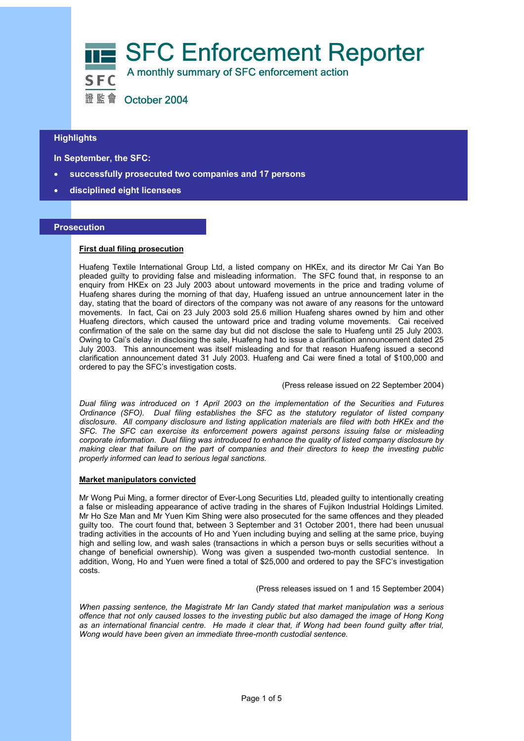

## **Highlights**

 **In September, the SFC:** 

- **successfully prosecuted two companies and 17 persons**
- **disciplined eight licensees**

## **Prosecution**

l

## **First dual filing prosecution**

Huafeng Textile International Group Ltd, a listed company on HKEx, and its director Mr Cai Yan Bo pleaded guilty to providing false and misleading information. The SFC found that, in response to an enquiry from HKEx on 23 July 2003 about untoward movements in the price and trading volume of Huafeng shares during the morning of that day, Huafeng issued an untrue announcement later in the day, stating that the board of directors of the company was not aware of any reasons for the untoward movements. In fact, Cai on 23 July 2003 sold 25.6 million Huafeng shares owned by him and other Huafeng directors, which caused the untoward price and trading volume movements. Cai received confirmation of the sale on the same day but did not disclose the sale to Huafeng until 25 July 2003. Owing to Cai's delay in disclosing the sale, Huafeng had to issue a clarification announcement dated 25 July 2003. This announcement was itself misleading and for that reason Huafeng issued a second clarification announcement dated 31 July 2003. Huafeng and Cai were fined a total of \$100,000 and ordered to pay the SFC's investigation costs.

### (Press release issued on 22 September 2004)

*Dual filing was introduced on 1 April 2003 on the implementation of the Securities and Futures Ordinance (SFO). Dual filing establishes the SFC as the statutory regulator of listed company disclosure. All company disclosure and listing application materials are filed with both HKEx and the SFC. The SFC can exercise its enforcement powers against persons issuing false or misleading corporate information. Dual filing was introduced to enhance the quality of listed company disclosure by making clear that failure on the part of companies and their directors to keep the investing public properly informed can lead to serious legal sanctions.* 

## **Market manipulators convicted**

Mr Wong Pui Ming, a former director of Ever-Long Securities Ltd, pleaded guilty to intentionally creating a false or misleading appearance of active trading in the shares of Fujikon Industrial Holdings Limited. Mr Ho Sze Man and Mr Yuen Kim Shing were also prosecuted for the same offences and they pleaded guilty too. The court found that, between 3 September and 31 October 2001, there had been unusual trading activities in the accounts of Ho and Yuen including buying and selling at the same price, buying high and selling low, and wash sales (transactions in which a person buys or sells securities without a change of beneficial ownership). Wong was given a suspended two-month custodial sentence. In addition, Wong, Ho and Yuen were fined a total of \$25,000 and ordered to pay the SFC's investigation costs.

(Press releases issued on 1 and 15 September 2004)

*When passing sentence, the Magistrate Mr Ian Candy stated that market manipulation was a serious offence that not only caused losses to the investing public but also damaged the image of Hong Kong as an international financial centre. He made it clear that, if Wong had been found guilty after trial, Wong would have been given an immediate three-month custodial sentence.*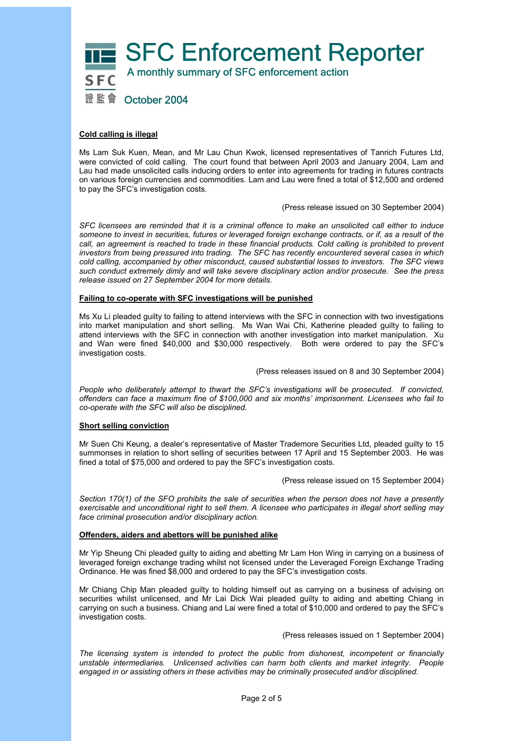

## **Cold calling is illegal**

Ms Lam Suk Kuen, Mean, and Mr Lau Chun Kwok, licensed representatives of Tanrich Futures Ltd, were convicted of cold calling. The court found that between April 2003 and January 2004, Lam and Lau had made unsolicited calls inducing orders to enter into agreements for trading in futures contracts on various foreign currencies and commodities. Lam and Lau were fined a total of \$12,500 and ordered to pay the SFC's investigation costs.

(Press release issued on 30 September 2004)

*SFC licensees are reminded that it is a criminal offence to make an unsolicited call either to induce someone to invest in securities, futures or leveraged foreign exchange contracts, or if, as a result of the*  call, an agreement is reached to trade in these financial products. Cold calling is prohibited to prevent *investors from being pressured into trading. The SFC has recently encountered several cases in which cold calling, accompanied by other misconduct, caused substantial losses to investors. The SFC views such conduct extremely dimly and will take severe disciplinary action and/or prosecute. See the press release issued on 27 September 2004 for more details.* 

## **Failing to co-operate with SFC investigations will be punished**

Ms Xu Li pleaded guilty to failing to attend interviews with the SFC in connection with two investigations into market manipulation and short selling. Ms Wan Wai Chi, Katherine pleaded guilty to failing to attend interviews with the SFC in connection with another investigation into market manipulation. Xu and Wan were fined \$40,000 and \$30,000 respectively. Both were ordered to pay the SFC's investigation costs.

(Press releases issued on 8 and 30 September 2004)

*People who deliberately attempt to thwart the SFC's investigations will be prosecuted. If convicted, offenders can face a maximum fine of \$100,000 and six months' imprisonment. Licensees who fail to co-operate with the SFC will also be disciplined.* 

## **Short selling conviction**

Mr Suen Chi Keung, a dealer's representative of Master Trademore Securities Ltd, pleaded guilty to 15 summonses in relation to short selling of securities between 17 April and 15 September 2003. He was fined a total of \$75,000 and ordered to pay the SFC's investigation costs.

(Press release issued on 15 September 2004)

*Section 170(1) of the SFO prohibits the sale of securities when the person does not have a presently exercisable and unconditional right to sell them. A licensee who participates in illegal short selling may face criminal prosecution and/or disciplinary action.* 

## **Offenders, aiders and abettors will be punished alike**

Mr Yip Sheung Chi pleaded guilty to aiding and abetting Mr Lam Hon Wing in carrying on a business of leveraged foreign exchange trading whilst not licensed under the Leveraged Foreign Exchange Trading Ordinance. He was fined \$8,000 and ordered to pay the SFC's investigation costs.

Mr Chiang Chip Man pleaded guilty to holding himself out as carrying on a business of advising on securities whilst unlicensed, and Mr Lai Dick Wai pleaded guilty to aiding and abetting Chiang in carrying on such a business. Chiang and Lai were fined a total of \$10,000 and ordered to pay the SFC's investigation costs.

(Press releases issued on 1 September 2004)

*The licensing system is intended to protect the public from dishonest, incompetent or financially unstable intermediaries. Unlicensed activities can harm both clients and market integrity. People engaged in or assisting others in these activities may be criminally prosecuted and/or disciplined.*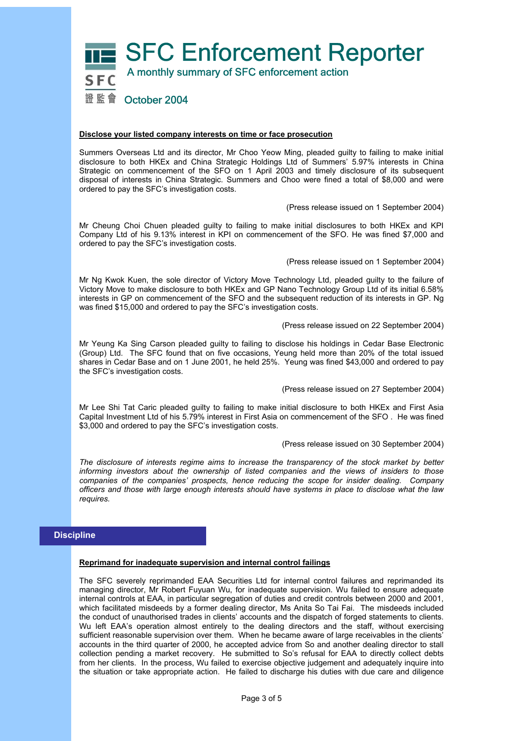

### **Disclose your listed company interests on time or face prosecution**

Summers Overseas Ltd and its director, Mr Choo Yeow Ming, pleaded guilty to failing to make initial disclosure to both HKEx and China Strategic Holdings Ltd of Summers' 5.97% interests in China Strategic on commencement of the SFO on 1 April 2003 and timely disclosure of its subsequent disposal of interests in China Strategic. Summers and Choo were fined a total of \$8,000 and were ordered to pay the SFC's investigation costs.

(Press release issued on 1 September 2004)

Mr Cheung Choi Chuen pleaded guilty to failing to make initial disclosures to both HKEx and KPI Company Ltd of his 9.13% interest in KPI on commencement of the SFO. He was fined \$7,000 and ordered to pay the SFC's investigation costs.

(Press release issued on 1 September 2004)

Mr Ng Kwok Kuen, the sole director of Victory Move Technology Ltd, pleaded guilty to the failure of Victory Move to make disclosure to both HKEx and GP Nano Technology Group Ltd of its initial 6.58% interests in GP on commencement of the SFO and the subsequent reduction of its interests in GP. Ng was fined \$15,000 and ordered to pay the SFC's investigation costs.

(Press release issued on 22 September 2004)

Mr Yeung Ka Sing Carson pleaded guilty to failing to disclose his holdings in Cedar Base Electronic (Group) Ltd. The SFC found that on five occasions, Yeung held more than 20% of the total issued shares in Cedar Base and on 1 June 2001, he held 25%. Yeung was fined \$43,000 and ordered to pay the SFC's investigation costs.

(Press release issued on 27 September 2004)

Mr Lee Shi Tat Caric pleaded guilty to failing to make initial disclosure to both HKEx and First Asia Capital Investment Ltd of his 5.79% interest in First Asia on commencement of the SFO . He was fined \$3,000 and ordered to pay the SFC's investigation costs.

(Press release issued on 30 September 2004)

*The disclosure of interests regime aims to increase the transparency of the stock market by better informing investors about the ownership of listed companies and the views of insiders to those companies of the companies' prospects, hence reducing the scope for insider dealing. Company officers and those with large enough interests should have systems in place to disclose what the law requires.* 

# **Discipline**

### **Reprimand for inadequate supervision and internal control failings**

The SFC severely reprimanded EAA Securities Ltd for internal control failures and reprimanded its managing director, Mr Robert Fuyuan Wu, for inadequate supervision. Wu failed to ensure adequate internal controls at EAA, in particular segregation of duties and credit controls between 2000 and 2001, which facilitated misdeeds by a former dealing director, Ms Anita So Tai Fai. The misdeeds included the conduct of unauthorised trades in clients' accounts and the dispatch of forged statements to clients. Wu left EAA's operation almost entirely to the dealing directors and the staff, without exercising sufficient reasonable supervision over them. When he became aware of large receivables in the clients' accounts in the third quarter of 2000, he accepted advice from So and another dealing director to stall collection pending a market recovery. He submitted to So's refusal for EAA to directly collect debts from her clients. In the process, Wu failed to exercise objective judgement and adequately inquire into the situation or take appropriate action. He failed to discharge his duties with due care and diligence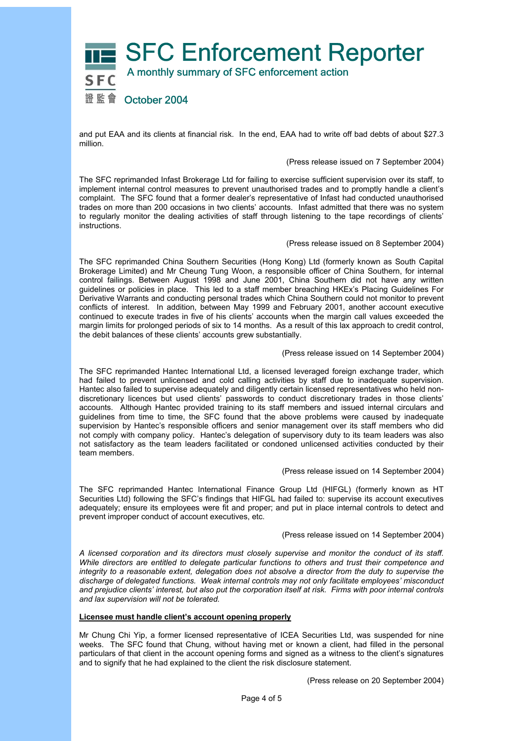

and put EAA and its clients at financial risk. In the end, EAA had to write off bad debts of about \$27.3 million.

### (Press release issued on 7 September 2004)

The SFC reprimanded Infast Brokerage Ltd for failing to exercise sufficient supervision over its staff, to implement internal control measures to prevent unauthorised trades and to promptly handle a client's complaint. The SFC found that a former dealer's representative of Infast had conducted unauthorised trades on more than 200 occasions in two clients' accounts. Infast admitted that there was no system to regularly monitor the dealing activities of staff through listening to the tape recordings of clients' instructions.

### (Press release issued on 8 September 2004)

The SFC reprimanded China Southern Securities (Hong Kong) Ltd (formerly known as South Capital Brokerage Limited) and Mr Cheung Tung Woon, a responsible officer of China Southern, for internal control failings. Between August 1998 and June 2001, China Southern did not have any written guidelines or policies in place. This led to a staff member breaching HKEx's Placing Guidelines For Derivative Warrants and conducting personal trades which China Southern could not monitor to prevent conflicts of interest. In addition, between May 1999 and February 2001, another account executive continued to execute trades in five of his clients' accounts when the margin call values exceeded the margin limits for prolonged periods of six to 14 months. As a result of this lax approach to credit control, the debit balances of these clients' accounts grew substantially.

### (Press release issued on 14 September 2004)

The SFC reprimanded Hantec International Ltd, a licensed leveraged foreign exchange trader, which had failed to prevent unlicensed and cold calling activities by staff due to inadequate supervision. Hantec also failed to supervise adequately and diligently certain licensed representatives who held nondiscretionary licences but used clients' passwords to conduct discretionary trades in those clients' accounts. Although Hantec provided training to its staff members and issued internal circulars and guidelines from time to time, the SFC found that the above problems were caused by inadequate supervision by Hantec's responsible officers and senior management over its staff members who did not comply with company policy. Hantec's delegation of supervisory duty to its team leaders was also not satisfactory as the team leaders facilitated or condoned unlicensed activities conducted by their team members.

### (Press release issued on 14 September 2004)

The SFC reprimanded Hantec International Finance Group Ltd (HIFGL) (formerly known as HT Securities Ltd) following the SFC's findings that HIFGL had failed to: supervise its account executives adequately; ensure its employees were fit and proper; and put in place internal controls to detect and prevent improper conduct of account executives, etc.

### (Press release issued on 14 September 2004)

*A licensed corporation and its directors must closely supervise and monitor the conduct of its staff. While directors are entitled to delegate particular functions to others and trust their competence and integrity to a reasonable extent, delegation does not absolve a director from the duty to supervise the discharge of delegated functions. Weak internal controls may not only facilitate employees' misconduct and prejudice clients' interest, but also put the corporation itself at risk. Firms with poor internal controls and lax supervision will not be tolerated.* 

### **Licensee must handle client's account opening properly**

Mr Chung Chi Yip, a former licensed representative of ICEA Securities Ltd, was suspended for nine weeks. The SFC found that Chung, without having met or known a client, had filled in the personal particulars of that client in the account opening forms and signed as a witness to the client's signatures and to signify that he had explained to the client the risk disclosure statement.

(Press release on 20 September 2004)